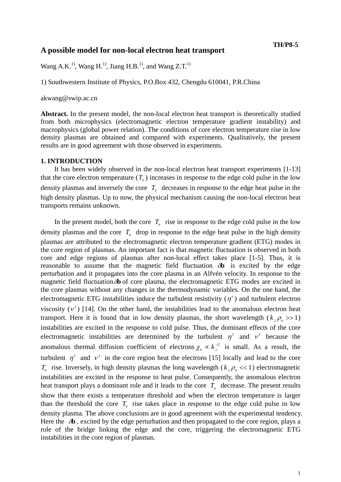# **A possible model for non-local electron heat transport TH/P8-5**

Wang A.K.<sup>1)</sup>, Wang H.<sup>1)</sup>, Jiang H.B.<sup>1)</sup>, and Wang Z.T.<sup>1)</sup>

1) Southwestern Institute of Physics, P.O.Box 432, Chengdu 610041, P.R.China

akwang@swip.ac.cn

**Abstract.** In the present model, the non-local electron heat transport is theoretically studied from both microphysics (electromagnetic electron temperature gradient instability) and macrophysics (global power relation). The conditions of core electron temperature rise in low density plasmas are obtained and compared with experiments. Qualitatively, the present results are in good agreement with those observed in experiments.

## **1. INTRODUCTION**

It has been widely observed in the non-local electron heat transport experiments [1-13] that the core electron temperature  $(T_e)$  increases in response to the edge cold pulse in the low density plasmas and inversely the core  $T_e$  decreases in response to the edge heat pulse in the high density plasmas. Up to now, the physical mechanism causing the non-local electron heat transports remains unknown.

In the present model, both the core  $T_e$  rise in response to the edge cold pulse in the low density plasmas and the core  $T_e$  drop in response to the edge heat pulse in the high density plasmas are attributed to the electromagnetic electron temperature gradient (ETG) modes in the core region of plasmas. An important fact is that magnetic fluctuation is observed in both core and edge regions of plasmas after non-local effect takes place [1-5]. Thus, it is reasonable to assume that the magnetic field fluctuation δ**b** is excited by the edge perturbation and it propagates into the core plasma in an Alfvén velocity. In response to the magnetic field fluctuationδ**b** of core plasma, the electromagnetic ETG modes are excited in the core plasmas without any changes in the thermodynamic variables. On the one hand, the electromagnetic ETG instabilities induce the turbulent resistivity  $(n<sup>t</sup>)$  and turbulent electron viscosity  $(v^t)$  [14]. On the other hand, the instabilities lead to the anomalous electron heat transport. Here it is found that in low density plasmas, the short wavelength ( $k_{\perp} \rho_e$  >> 1) instabilities are excited in the response to cold pulse. Thus, the dominant effects of the core electromagnetic instabilities are determined by the turbulent  $\eta^t$  and  $\nu^t$  because the anomalous thermal diffusion coefficient of electrons  $\chi$ <sub>*e*</sub>  $\propto k_{\perp}^{-2}$  is small. As a result, the turbulent  $\eta^t$  and  $\nu^t$  in the core region heat the electrons [15] locally and lead to the core *T<sub>e</sub>* rise. Inversely, in high density plasmas the long wavelength ( $k_1 \rho \ll 1$ ) electromagnetic instabilities are excited in the response to heat pulse. Consequently, the anomalous electron heat transport plays a dominant role and it leads to the core  $T_e$  decrease. The present results show that there exists a temperature threshold and when the electron temperature is larger than the threshold the core  $T_e$  rise takes place in response to the edge cold pulse in low density plasma. The above conclusions are in good agreement with the experimental tendency. Here the  $\delta b$ , excited by the edge perturbation and then propagated to the core region, plays a role of the bridge linking the edge and the core, triggering the electromagnetic ETG instabilities in the core region of plasmas.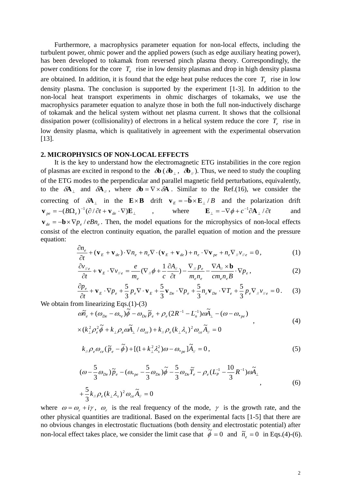Furthermore, a macrophysics parameter equation for non-local effects, including the turbulent power, ohmic power and the applied powers (such as edge auxiliary heating power), has been developed to tokamak from reversed pinch plasma theory. Correspondingly, the power conditions for the core  $T_{e}$  rise in low density plasmas and drop in high density plasma are obtained. In addition, it is found that the edge heat pulse reduces the core  $T<sub>e</sub>$  rise in low density plasma. The conclusion is supported by the experiment [1-3]. In addition to the non-local heat transport experiments in ohmic discharges of tokamaks, we use the macrophysics parameter equation to analyze those in both the full non-inductively discharge of tokamak and the helical system without net plasma current. It shows that the collsional dissipation power (collisionality) of electrons in a helical system reduce the core  $T_e$  rise in low density plasma, which is qualitatively in agreement with the experimental observation [13].

# **2. MICROPHYSICS OF NON-LOCAL EFFECTS**

It is the key to understand how the electromagnetic ETG instabilities in the core region of plasmas are excited in respond to the  $\partial \mathbf{b}$  ( $\partial \mathbf{b}_{\perp}$ ,  $\partial \mathbf{b}_{\perp}$ ). Thus, we need to study the coupling of the ETG modes to the perpendicular and parallel magnetic field perturbations, equivalently, to the  $\delta A_{\perp}$  and  $\delta A_{\parallel}$ , where  $\delta b = \nabla \times \delta A$ . Similar to the Ref.(16), we consider the correcting of  $\delta$ **A**<sub>⊥</sub> in the **E**×**B** drift **v**<sub>*E*</sub> = −**b**×**E**<sub>⊥</sub> /*B* and the polarization drift  $\mathbf{v}_{pe} = -(B\Omega_e)^{-1}(\partial/\partial t + \mathbf{v}_{de} \cdot \nabla)\mathbf{E}_{\perp}$ , where  $\mathbf{E}_{\perp} = -\nabla \phi + c^{-1}\partial \mathbf{A}_{\perp}/\partial t$  and  $\mathbf{v}_{de} = -\mathbf{b} \times \nabla p_e / eB n_e$ . Then, the model equations for the microphysics of non-local effects consist of the electron continuity equation, the parallel equation of motion and the pressure equation:

$$
\frac{\partial n_e}{\partial t} + (\mathbf{v}_E + \mathbf{v}_{de}) \cdot \nabla n_e + n_e \nabla \cdot (\mathbf{v}_E + \mathbf{v}_{de}) + n_e \cdot \nabla \mathbf{v}_{pe} + n_e \nabla_{\mu} v_{\mu e} = 0, \qquad (1)
$$

$$
\frac{\partial v_{\text{N}_e}}{\partial t} + \mathbf{v}_E \cdot \nabla v_{\text{N}_e} = \frac{e}{m_e} (\nabla_{\text{N}} \phi + \frac{1}{c} \frac{\partial A_{\text{N}}}{\partial t}) - \frac{\nabla_{\text{N}} p_e}{m_e n_e} - \frac{\nabla A_{\text{N}} \times \mathbf{b}}{c m_e n_e B} \cdot \nabla p_e, \tag{2}
$$

$$
\frac{\partial p_e}{\partial t} + \mathbf{v}_E \cdot \nabla p_e + \frac{5}{3} p_e \nabla \cdot \mathbf{v}_E + \frac{5}{3} \mathbf{v}_{De} \cdot \nabla p_e + \frac{5}{3} n_e \mathbf{v}_{De} \cdot \nabla T_e + \frac{5}{3} p_e \nabla_{\mu} v_{\mu e} = 0. \tag{3}
$$

We obtain from linearizing  $Eqs.(1)-(3)$ 

$$
\omega \widetilde{n}_e + (\omega_{De} - \omega_{*_e}) \widetilde{\phi} - \omega_{De} \widetilde{p}_e + \rho_e (2R^{-1} - L_n^{-1}) \omega \widetilde{A}_{\perp} - (\omega - \omega_{*_{pe}})
$$
  
× $(k_{\perp}^2 \rho_e^2 \widetilde{\phi} + k_{\perp} \rho_e \omega \widetilde{A}_{\perp} / \omega_{ce}) + k_{\#} \rho_e (k_{\perp} \lambda_s)^2 \omega_{ce} \widetilde{A}_{\#} = 0$  (4)

$$
k_{\mu}\rho_{e}\omega_{ce}(\tilde{p}_{e}-\tilde{\phi})+[(1+k_{\perp}^{2}\lambda_{s}^{2})\omega-\omega_{*_{pe}}]\tilde{A}_{\mu}=0,
$$
\n(5)

$$
(\omega - \frac{5}{3}\omega_{De})\tilde{p}_e - (\omega_{*_{pe}} - \frac{5}{3}\omega_{De})\tilde{\phi} - \frac{5}{3}\omega_{De}\tilde{T}_e - \rho_e(L_P^{-1} - \frac{10}{3}R^{-1})\omega\tilde{A}_\perp
$$
  
+ 
$$
\frac{5}{3}k_{\parallel}\rho_e(k_{\perp}\lambda_s)^2\omega_{ce}\tilde{A}_{\parallel} = 0
$$
 (6)

where  $\omega = \omega_r + i\gamma$ ,  $\omega_r$  is the real frequency of the mode,  $\gamma$  is the growth rate, and the other physical quantities are traditional. Based on the experimental facts [1-5] that there are no obvious changes in electrostatic fluctuations (both density and electrostatic potential) after non-local effect takes place, we consider the limit case that  $\tilde{\phi} = 0$  and  $\tilde{n}_e = 0$  in Eqs.(4)-(6).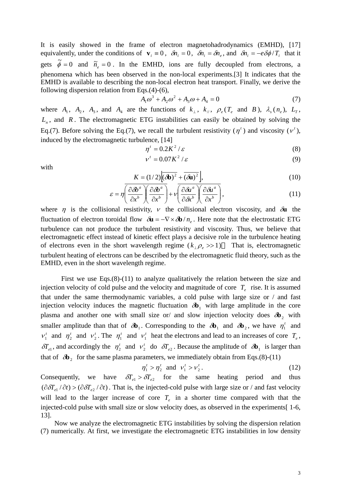It is easily showed in the frame of electron magnetohadrodynamics (EMHD), [17] equivalently, under the conditions of  $\mathbf{v}_i \equiv 0$ ,  $\delta n_i = 0$ ,  $\delta n_i = \delta n_e$ , and  $\delta n_i = -e\delta\phi/T_i$  that it gets  $\tilde{\phi} = 0$  and  $\tilde{n}_e = 0$ . In the EMHD, ions are fully decoupled from electrons, a phenomena which has been observed in the non-local experiments.[3] It indicates that the EMHD is available to describing the non-local electron heat transport. Finally, we derive the following dispersion relation from Eqs.(4)-(6),

$$
A_1 \omega^3 + A_2 \omega^2 + A_3 \omega + A_4 = 0 \tag{7}
$$

where  $A_1$ ,  $A_2$ ,  $A_3$ , and  $A_4$  are the functions of  $k_{\perp}$ ,  $k_{\parallel}$ ,  $\rho_e(T_e$  and  $B)$ ,  $\lambda_s(n_e)$ ,  $L_T$ ,  $L_n$ , and *R*. The electromagnetic ETG instabilities can easily be obtained by solving the Eq.(7). Before solving the Eq.(7), we recall the turbulent resistivity  $(\eta^t)$  and viscosity  $(\nu^t)$ , induced by the electromagnetic turbulence, [14]

$$
\eta^t = 0.2K^2/\varepsilon \tag{8}
$$

$$
v' = 0.07K^2/\varepsilon \tag{9}
$$

with

$$
K = (1/2)\left[\overline{(\partial \mathbf{b})^2} + \overline{(\partial \mathbf{u})^2}\right],\tag{10}
$$

$$
\varepsilon = \eta \left( \frac{\partial \delta b^a}{\partial x^b} \right) \left( \frac{\partial \delta b^a}{\partial x^b} \right) + \nu \left( \frac{\partial \delta u^a}{\partial x^b} \right) \left( \frac{\partial \delta u^a}{\partial x^b} \right),\tag{11}
$$

where  $\eta$  is the collisional resistivity,  $\nu$  the collisional electron viscosity, and  $\delta$ **u** the fluctuation of electron toroidal flow  $\delta \mathbf{u} = -\nabla \times \delta \mathbf{b} / n_{\rho}$ . Here note that the electrostatic ETG turbulence can not produce the turbulent resistivity and viscosity. Thus, we believe that electromagnetic effect instead of kinetic effect plays a decisive role in the turbulence heating of electrons even in the short wavelength regime  $(k_1 \rho_e \gg 1)$  That is, electromagnetic turbulent heating of electrons can be described by the electromagnetic fluid theory, such as the EMHD, even in the short wavelength regime.

 First we use Eqs.(8)-(11) to analyze qualitatively the relation between the size and injection velocity of cold pulse and the velocity and magnitude of core  $T_e$  rise. It is assumed that under the same thermodynamic variables, a cold pulse with large size or / and fast injection velocity induces the magnetic fluctuation  $\partial \mathbf{b}_1$  with large amplitude in the core plasma and another one with small size or/ and slow injection velocity does  $\delta b_2$  with smaller amplitude than that of  $\delta \mathbf{b}_1$ . Corresponding to the  $\delta \mathbf{b}_1$  and  $\delta \mathbf{b}_2$ , we have  $\eta_1^t$  and  $v_1^t$  and  $\eta_2^t$  and  $v_2^t$ . The  $\eta_1^t$  and  $v_1^t$  heat the electrons and lead to an increases of core  $T_e$ ,  $\delta T_{el}$ , and accordingly the  $\eta_2^t$  and  $v_2^t$  do  $\delta T_{el}$ . Because the amplitude of  $\delta \mathbf{b}_1$  is larger than that of  $\delta b_2$  for the same plasma parameters, we immediately obtain from Eqs.(8)-(11)

$$
\eta_1^t > \eta_2^t \text{ and } \nu_1^t > \nu_2^t. \tag{12}
$$

Consequently, we have  $\delta T_{e1} > \delta T_{e2}$  for the same heating period and thus  $(\partial \delta T_{e^1}/\partial t) > (\partial \delta T_{e^2}/\partial t)$ . That is, the injected-cold pulse with large size or / and fast velocity will lead to the larger increase of core  $T_e$  in a shorter time compared with that the injected-cold pulse with small size or slow velocity does, as observed in the experiments[ 1-6, 13].

Now we analyze the electromagnetic ETG instabilities by solving the dispersion relation (7) numerically. At first, we investigate the electromagnetic ETG instabilities in low density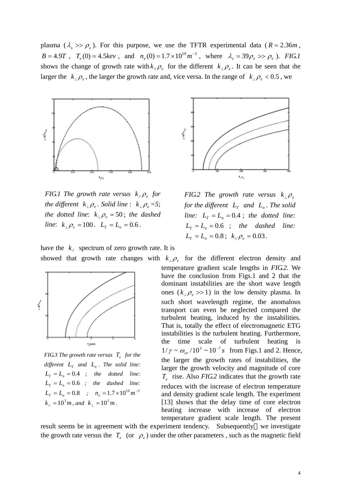plasma ( $\lambda_s \gg \rho_e$ ). For this purpose, we use the TFTR experimental data ( $R = 2.36m$ ,  $B = 4.9T$ ,  $T_e(0) = 4.5 \text{keV}$ , and  $n_e(0) = 1.7 \times 10^{19} \text{ m}^{-3}$ , where  $\lambda_s = 39 \rho_e >> \rho_e$ ). *FIG.1* shows the change of growth rate with  $k_{\mu} \rho_e$  for the different  $k_{\mu} \rho_e$ . It can be seen that the larger the  $k_{\perp} \rho_e$ , the larger the growth rate and, vice versa. In the range of  $k_{\perp} \rho_e < 0.5$ , we



*FIG.1 The growth rate versus*  $k_{\mu} \rho_e$  *for the different*  $k_\perp \rho_e$ . Solid line :  $k_\perp \rho_e = 5$ ; *the dotted line:*  $k_{\perp} \rho_e = 50$ ; *the dashed line*:  $k_{\perp} \rho_e = 100$ .  $L_T = L_n = 0.6$ .



*FIG.2 The growth rate versus*  $k_{\perp} \rho_e$ *for the different*  $L_r$  *and*  $L_n$ *. The solid line:*  $L_r = L_n = 0.4$ ; *the dotted line:*  $L<sub>T</sub> = L<sub>n</sub> = 0.6$ ; the dashed line:  $L_r = L_n = 0.8$ ;  $k_{\mu} \rho_e = 0.03$ .

have the  $k_{\text{N}}$  spectrum of zero growth rate. It is



*FIG.3 The growth rate versus*  $T_e$  *for the*  $differential$   $L_{T}$  and  $L_{n}$ . The solid line:  $L<sub>r</sub> = L<sub>n</sub> = 0.4$  *; the dotted line:*  $L_T = L_n = 0.6$  *; the dashed line:*  $L_T = L_n = 0.8$  *;*  $n_e = 1.7 \times 10^{19} m^{-3}$  $k_{\text{M}} = 10^3 m$ , and  $k_{\text{L}} = 10^5 m$ .

showed that growth rate changes with  $k_{\perp} \rho_e$  for the different electron density and temperature gradient scale lengths in *FIG.2*. We have the conclusion from Figs.1 and 2 that the dominant instabilities are the short wave length ones  $(k_{\perp} \rho_e >> 1)$  in the low density plasma. In such short wavelength regime, the anomalous transport can even be neglected compared the turbulent heating, induced by the instabilities. That is, totally the effect of electromagnetic ETG instabilities is the turbulent heating. Furthermore, the time scale of turbulent heating  $1/\gamma \sim \omega_{ce} / 10^3 \sim 10^{-7} s$  from Figs.1 and 2. Hence, the larger the growth rates of instabilities, the larger the growth velocity and magnitude of core *T<sub>e</sub>* rise. Also *FIG.2* indicates that the growth rate reduces with the increase of electron temperature and density gradient scale length. The experiment [13] shows that the delay time of core electron heating increase with increase of electron temperature gradient scale length. The present

result seems be in agreement with the experiment tendency. Subsequently we investigate the growth rate versus the  $T_e$  (or  $\rho_e$ ) under the other parameters, such as the magnetic field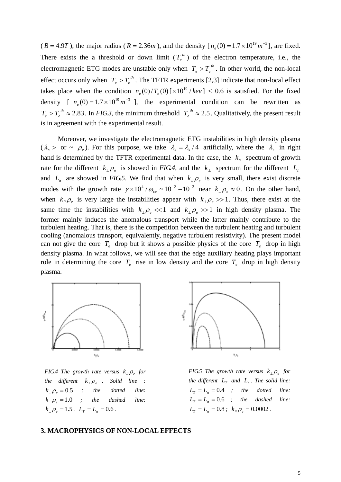( $B = 4.9T$ ), the major radius ( $R = 2.36m$ ), and the density  $[n_e(0) = 1.7 \times 10^{19} m^{-3}]$ , are fixed. There exists the a threshold or down limit  $(T_e^{th})$  of the electron temperature, i.e., the electromagnetic ETG modes are unstable only when  $T_e > T_e^{th}$ . In other world, the non-local effect occurs only when  $T_e > T_e^{th}$ . The TFTR experiments [2,3] indicate that non-local effect takes place when the condition  $n_e(0)/T_e(0)$  [ $\times 10^{19}/kev$ ] < 0.6 is satisfied. For the fixed density [  $n_e(0) = 1.7 \times 10^{19} m^{-3}$  ], the experimental condition can be rewritten as  $T_e > T_e^{th} \approx 2.83$ . In *FIG.3*, the minimum threshold  $T_e^{th} \approx 2.5$ . Qualitatively, the present result is in agreement with the experimental result.

 Moreover, we investigate the electromagnetic ETG instabilities in high density plasma ( $\lambda_s$  > or ~  $\rho_e$ ). For this purpose, we take  $\lambda_s = \lambda_s/4$  artificially, where the  $\lambda_s$  in right hand is determined by the TFTR experimental data. In the case, the  $k_{\parallel}$  spectrum of growth rate for the different  $k_{\perp} \rho_e$  is showed in *FIG.4*, and the  $k_{\perp}$  spectrum for the different  $L_T$ and  $L_n$  are showed in *FIG.5*. We find that when  $k_{\mu} \rho_e$  is very small, there exist discrete modes with the growth rate  $\gamma \times 10^4 / \omega_{ce} \sim 10^{-2} - 10^{-3}$  near  $k_{\perp} \rho_e \approx 0$ . On the other hand, when  $k_{\mu} \rho_e$  is very large the instabilities appear with  $k_{\mu} \rho_e >> 1$ . Thus, there exist at the same time the instabilities with  $k_{\perp} \rho_{e} \ll 1$  and  $k_{\perp} \rho_{e} \gg 1$  in high density plasma. The former mainly induces the anomalous transport while the latter mainly contribute to the turbulent heating. That is, there is the competition between the turbulent heating and turbulent cooling (anomalous transport, equivalently, negative turbulent resistivity). The present model can not give the core  $T_e$  drop but it shows a possible physics of the core  $T_e$  drop in high density plasma. In what follows, we will see that the edge auxiliary heating plays important role in determining the core  $T_e$  rise in low density and the core  $T_e$  drop in high density plasma.



*FIG.4 The growth rate versus*  $k_{\mu} \rho_{\nu}$  *for the different*  $k_{\perp} \rho_{\varrho}$  *. Solid line :*  $k_{\perp} \rho_e = 0.5$  ; the dotted line:  $k_{\perp} \rho_e = 1.0$  ; the dashed line:  $k_{\perp} \rho_e = 1.5$ .  $L_T = L_n = 0.6$ .



*FIG.5 The growth rate versus*  $k_{\perp} \rho_e$  *for the different*  $L_r$  *and*  $L_n$ *. The solid line:*  $L_T = L_n = 0.4$  *;* the dotted line:  $L<sub>T</sub> = L<sub>n</sub> = 0.6$  *;* the dashed line:  $L_T = L_n = 0.8$ ;  $k_{\mu} \rho_e = 0.0002$ .

#### **3. MACROPHYSICS OF NON-LOCAL EFFECTS**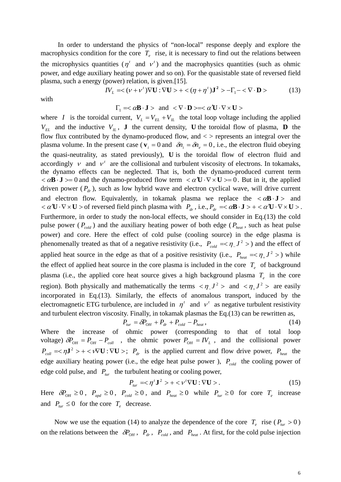In order to understand the physics of "non-local" response deeply and explore the macrophysics condition for the core  $T_e$  rise, it is necessary to find out the relations between the microphysics quantities  $(\eta^t$  and  $\nu^t)$  and the macrophysics quantities (such as ohmic power, and edge auxiliary heating power and so on). For the quasistable state of reversed field plasma, such a energy (power) relation, is given.[15].

$$
IV_L = \langle (\nu + \nu^t) \nabla \mathbf{U} : \nabla \mathbf{U} \rangle + \langle (\eta + \eta^t) \mathbf{J}^2 \rangle - \Gamma_1 - \langle \nabla \cdot \mathbf{D} \rangle \tag{13}
$$

with

$$
\Gamma_1 = <\alpha \mathbf{B} \cdot \mathbf{J} > \text{ and } <\nabla \cdot \mathbf{D} > = <\alpha \mathbf{U} \cdot \nabla \times \mathbf{U}>
$$

where *I* is the toroidal current,  $V_L = V_{EL} + V_{IL}$  the total loop voltage including the applied  $V_{EL}$  and the inductive  $V_{IL}$ , **J** the current density, **U** the toroidal flow of plasma, **D** the flow flux contributed by the dynamo-produced flow, and  $\langle$  > represents an integral over the plasma volume. In the present case ( $\mathbf{v}_i = 0$  and  $\delta n_i = \delta n_e = 0$ , i.e., the electron fluid obeying the quasi-neutrality, as stated previously), **U** is the toroidal flow of electron fluid and accordingly  $v$  and  $v^t$  are the collisional and turbulent viscosity of electrons. In tokamaks, the dynamo effects can be neglected. That is, both the dynamo-produced current term  $\langle \alpha \mathbf{B} \cdot \mathbf{J} \rangle = 0$  and the dynamo-produced flow term  $\langle \alpha \mathbf{U} \cdot \nabla \times \mathbf{U} \rangle = 0$ . But in it, the applied driven power  $(P_d)$ , such as low hybrid wave and electron cyclical wave, will drive current and electron flow. Equivalently, in tokamak plasma we replace the  $\langle \alpha \mathbf{B} \cdot \mathbf{J} \rangle$  and  $a \propto a' \mathbf{U} \cdot \nabla \times \mathbf{U} > 0$  reversed field pinch plasma with  $P_{dr}$ , i.e.,  $P_{dr} = a \mathbf{B} \cdot \mathbf{J} > + a \mathbf{U} \cdot \nabla \times \mathbf{U} > 0$ . Furthermore, in order to study the non-local effects, we should consider in Eq.(13) the cold pulse power ( $P_{cold}$ ) and the auxiliary heating power of both edge ( $P_{heat}$ , such as heat pulse power) and core. Here the effect of cold pulse (cooling source) in the edge plasma is phenomenally treated as that of a negative resistivity (i.e.,  $P_{cold} = \langle \eta I^2 \rangle$ ) and the effect of applied heat source in the edge as that of a positive resistivity (i.e.,  $P_{heat} = \langle \eta_+ J^2 \rangle$ ) while the effect of applied heat source in the core plasma is included in the core  $T_e$  of background plasma (i.e., the applied core heat source gives a high background plasma  $T_e$  in the core region). Both physically and mathematically the terms  $\langle \eta_1 J^2 \rangle$  and  $\langle \eta_1 J^2 \rangle$  are easily incorporated in Eq.(13). Similarly, the effects of anomalous transport, induced by the electromagnetic ETG turbulence, are included in  $\eta^t$  and  $v^t$  as negative turbulent resistivity and turbulent electron viscosity. Finally, in tokamak plasmas the Eq.(13) can be rewritten as,

$$
P_{\text{tur}} = \delta P_{\text{OH}} + P_{\text{dr}} + P_{\text{cold}} - P_{\text{heat}},\tag{14}
$$

Where the increase of ohmic power (corresponding to that of total loop voltage)  $\delta P_{OH} = P_{OH} - P_{coll}$ , the ohmic power  $P_{OH} = IV_L$ , and the collisional power  $P_{coll} = \langle \eta \mathbf{J}^2 \rangle + \langle \nabla \mathbf{U} : \nabla \mathbf{U} \rangle$ ;  $P_{dr}$  is the applied current and flow drive power,  $P_{heat}$  the edge auxiliary heating power (i.e., the edge heat pulse power),  $P_{cold}$  the cooling power of edge cold pulse, and  $P_{\text{tur}}$  the turbulent heating or cooling power,

$$
P_{\text{tur}} = \langle \eta^t \mathbf{J}^2 \rangle + \langle \nu^t \nabla \mathbf{U} : \nabla \mathbf{U} \rangle. \tag{15}
$$

Here  $\delta P_{OH} \ge 0$ ,  $P_{apd} \ge 0$ ,  $P_{cold} \ge 0$ , and  $P_{heat} \ge 0$  while  $P_{tur} \ge 0$  for core  $T_e$  increase and  $P_{\text{tur}} \leq 0$  for the core  $T_e$  decrease.

Now we use the equation (14) to analyze the dependence of the core  $T_e$  rise ( $P_{\text{tr}} > 0$ ) on the relations between the  $\delta P_{OH}$ ,  $P_{dr}$ ,  $P_{cold}$ , and  $P_{heat}$ . At first, for the cold pulse injection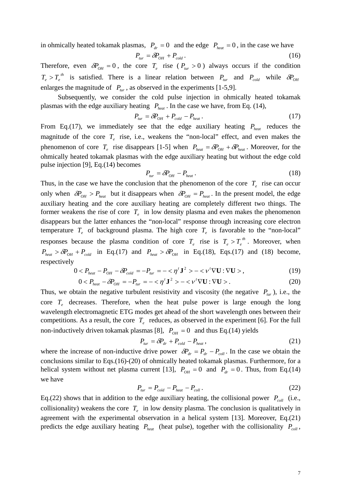in ohmically heated tokamak plasmas,  $P_{dr} = 0$  and the edge  $P_{heat} = 0$ , in the case we have

$$
P_{\text{tur}} = \delta P_{\text{OH}} + P_{\text{cold}} \,. \tag{16}
$$

Therefore, even  $\delta P_{OH} = 0$ , the core  $T_e$  rise ( $P_{tur} > 0$ ) always occurs if the condition  $T_e > T_e^{th}$  is satisfied. There is a linear relation between  $P_{tur}$  and  $P_{cold}$  while  $\delta P_{OH}$ enlarges the magnitude of  $P_{tur}$ , as observed in the experiments [1-5,9].

Subsequently, we consider the cold pulse injection in ohmically heated tokamak plasmas with the edge auxiliary heating  $P_{heat}$ . In the case we have, from Eq. (14),

$$
P_{\text{tur}} = \delta P_{\text{OH}} + P_{\text{cold}} - P_{\text{heat}}. \tag{17}
$$

From Eq.(17), we immediately see that the edge auxiliary heating  $P_{heat}$  reduces the magnitude of the core  $T_e$  rise, i.e., weakens the "non-local" effect, and even makes the phenomenon of core  $T_e$  rise disappears [1-5] when  $P_{heat} = \delta P_{OH} + \delta P_{heat}$ . Moreover, for the ohmically heated tokamak plasmas with the edge auxiliary heating but without the edge cold pulse injection [9], Eq.(14) becomes

$$
P_{\text{tur}} = \delta P_{\text{OH}} - P_{\text{heat}}.
$$
\n(18)

Thus, in the case we have the conclusion that the phenomenon of the core  $T_e$  rise can occur only when  $\delta P_{OH} > P_{heat}$  but it disappears when  $\delta P_{OH} = P_{heat}$ . In the present model, the edge auxiliary heating and the core auxiliary heating are completely different two things. The former weakens the rise of core  $T_e$  in low density plasma and even makes the phenomenon disappears but the latter enhances the "non-local" response through increasing core electron temperature  $T_e$  of background plasma. The high core  $T_e$  is favorable to the "non-local" responses because the plasma condition of core  $T_e$  rise is  $T_e > T_e^{th}$ . Moreover, when  $P_{heat} > \delta P_{OH} + P_{cold}$  in Eq.(17) and  $P_{heat} > \delta P_{OH}$  in Eq.(18), Eqs.(17) and (18) become, respectively

$$
0 < P_{\text{heat}} - P_{\text{OH}} - \delta P_{\text{cold}} = -P_{\text{tur}} = -\langle \eta^t \mathbf{J}^2 \rangle - \langle \nu^t \nabla \mathbf{U} : \nabla \mathbf{U} \rangle, \tag{19}
$$

$$
0 < P_{heat} - \delta P_{OH} = -P_{tur} = -\langle \eta' \mathbf{J}^2 \rangle - \langle \nu' \nabla \mathbf{U} : \nabla \mathbf{U} \rangle. \tag{20}
$$

Thus, we obtain the negative turbulent resistivity and viscosity (the negative  $P_{\text{tr}}$ ), i.e., the core  $T_e$  decreases. Therefore, when the heat pulse power is large enough the long wavelength electromagnetic ETG modes get ahead of the short wavelength ones between their competitions. As a result, the core  $T_e$  reduces, as observed in the experiment [6]. For the full non-inductively driven tokamak plasmas [8],  $P_{OH} = 0$  and thus Eq.(14) yields

$$
P_{\text{tur}} = \delta P_{\text{dr}} + P_{\text{cold}} - P_{\text{heat}}\,,\tag{21}
$$

where the increase of non-inductive drive power  $\delta P_{dr} = P_{dr} - P_{coll}$ . In the case we obtain the conclusions similar to Eqs.(16)-(20) of ohmically heated tokamak plasmas. Furthermore, for a helical system without net plasma current [13],  $P_{OH} = 0$  and  $P_{dr} = 0$ . Thus, from Eq.(14) we have

$$
P_{\text{tur}} = P_{\text{cold}} - P_{\text{heat}} - P_{\text{coll}} \,. \tag{22}
$$

Eq.(22) shows that in addition to the edge auxiliary heating, the collisional power  $P_{coll}$  (i.e., collisionality) weakens the core  $T<sub>e</sub>$  in low density plasma. The conclusion is qualitatively in agreement with the experimental observation in a helical system [13]. Moreover, Eq.(21) predicts the edge auxiliary heating  $P_{heat}$  (heat pulse), together with the collisionality  $P_{coll}$ ,